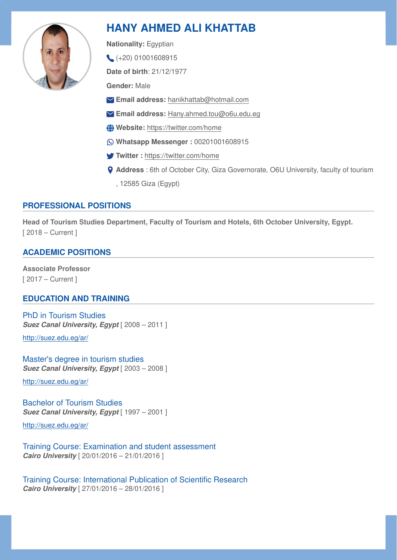

# **HANY AHMED ALI KHATTAB**

**Nationality:** Egyptian

(+20) 01001608915

**Date of birth**: 21/12/1977

**Gender:** Male

- **Email address:** [hanikhattab@hotmail.com](mailto:hanikhattab@hotmail.com)
- **Email address:** [Hany.ahmed.tou@o6u.edu.eg](mailto:Hany.ahmed.tou@o6u.edu.eg)
- **Website:**<https://twitter.com/home>
- **Whatsapp Messenger :** 00201001608915
- **Twitter :** <https://twitter.com/home>
- **Address** : 6th of October City, Giza Governorate, O6U University, faculty of tourism
	- , 12585 Giza (Egypt)

# **PROFESSIONAL POSITIONS**

**Head of Tourism Studies Department, Faculty of Tourism and Hotels, 6th October University, Egypt.**  [ 2018 – Current ]

# **ACADEMIC POSITIONS**

**Associate Professor**  [ 2017 – Current ]

# **EDUCATION AND TRAINING**

PhD in Tourism Studies *Suez Canal University, Egypt* [ 2008 – 2011 ]

<http://suez.edu.eg/ar/>

Master's degree in tourism studies *Suez Canal University, Egypt* [ 2003 – 2008 ]

<http://suez.edu.eg/ar/>

Bachelor of Tourism Studies **Suez Canal University, Egypt** [ 1997 – 2001 ]

<http://suez.edu.eg/ar/>

Training Course: Examination and student assessment *Cairo University* [ 20/01/2016 – 21/01/2016 ]

Training Course: International Publication of Scientific Research *Cairo University* [ 27/01/2016 – 28/01/2016 ]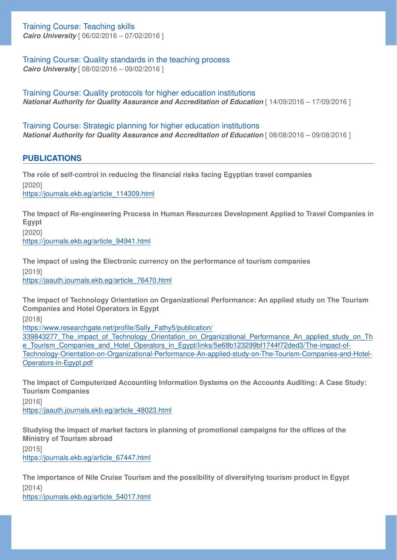Training Course: Teaching skills

*Cairo University* [ 06/02/2016 – 07/02/2016 ]

Training Course: Quality standards in the teaching process *Cairo University* [ 08/02/2016 – 09/02/2016 ]

Training Course: Quality protocols for higher education institutions *National Authority for Quality Assurance and Accreditation of Education* [  $14/09/2016 - 17/09/2016$  ]

Training Course: Strategic planning for higher education institutions *National Authority for Quality Assurance and Accreditation of Education* [  $08/08/2016 - 09/08/2016$  ]

#### **PUBLICATIONS**

**The role of self-control in reducing the financial risks facing Egyptian travel companies**  [2020] [https://journals.ekb.eg/article\\_114309.html](https://journals.ekb.eg/article_114309.html)

**The Impact of Re-engineering Process in Human Resources Development Applied to Travel Companies in Egypt**  [2020] [https://journals.ekb.eg/article\\_94941.html](https://journals.ekb.eg/article_94941.html)

**The impact of using the Electronic currency on the performance of tourism companies**  [2019] [https://jaauth.journals.ekb.eg/article\\_76470.html](https://jaauth.journals.ekb.eg/article_76470.html)

**The impact of Technology Orientation on Organizational Performance: An applied study on The Tourism Companies and Hotel Operators in Egypt** 

[2018]

[https://www.researchgate.net/pro](https://www.researchgate.net/profile/Sally_Fathy5/publication/339843277_The_impact_of_Technology_Orientation_on_Organizational_Performance_An_applied_study_on_The_Tourism_Companies_and_Hotel_Operators_in_Egypt/links/5e68b123299bf1744f72ded3/The-impact-of-Technology-Orientation-on-Organizational-Performance-An-applied-study-on-The-Tourism-Companies-and-Hotel-Operators-in-Egypt.pdf)file/Sally\_Fathy5/publication/

339843277 The impact of Technology Orientation on Organizational Performance An applied study on Th e Tourism Companies and Hotel Operators in Egypt/links/5e68b123299bf1744f72ded3/The-impact-of-[Technology-Orientation-on-Organizational-Performance-An-applied-study-on-The-Tourism-Companies-and-Hotel-](https://www.researchgate.net/profile/Sally_Fathy5/publication/339843277_The_impact_of_Technology_Orientation_on_Organizational_Performance_An_applied_study_on_The_Tourism_Companies_and_Hotel_Operators_in_Egypt/links/5e68b123299bf1744f72ded3/The-impact-of-Technology-Orientation-on-Organizational-Performance-An-applied-study-on-The-Tourism-Companies-and-Hotel-Operators-in-Egypt.pdf)[Operators-in-Egypt.pdf](https://www.researchgate.net/profile/Sally_Fathy5/publication/339843277_The_impact_of_Technology_Orientation_on_Organizational_Performance_An_applied_study_on_The_Tourism_Companies_and_Hotel_Operators_in_Egypt/links/5e68b123299bf1744f72ded3/The-impact-of-Technology-Orientation-on-Organizational-Performance-An-applied-study-on-The-Tourism-Companies-and-Hotel-Operators-in-Egypt.pdf)

**The Impact of Computerized Accounting Information Systems on the Accounts Auditing: A Case Study: Tourism Companies** 

[2016]

[https://jaauth.journals.ekb.eg/article\\_48023.html](https://jaauth.journals.ekb.eg/article_48023.html)

**Studying the impact of market factors in planning of promotional campaigns for the offices of the Ministry of Tourism abroad** 

[2015] [https://journals.ekb.eg/article\\_67447.html](https://journals.ekb.eg/article_67447.html)

**The importance of Nile Cruise Tourism and the possibility of diversifying tourism product in Egypt**  [2014]

[https://journals.ekb.eg/article\\_54017.html](https://journals.ekb.eg/article_54017.html)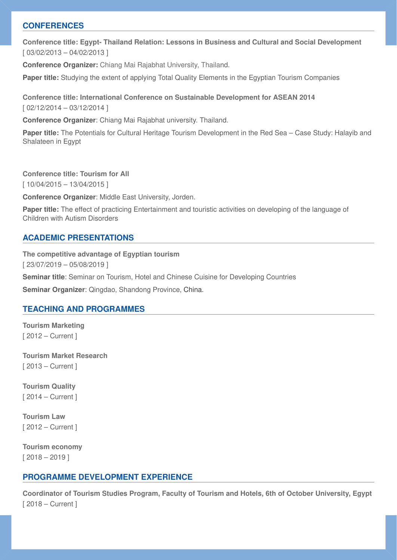#### **CONFERENCES**

**Conference title: Egypt- Thailand Relation: Lessons in Business and Cultural and Social Development**  [ 03/02/2013 – 04/02/2013 ]

**Conference Organizer:** Chiang Mai Rajabhat University, Thailand.

**Paper title:** Studying the extent of applying Total Quality Elements in the Egyptian Tourism Companies

**Conference title: International Conference on Sustainable Development for ASEAN 2014**  [ 02/12/2014 – 03/12/2014 ]

**Conference Organizer**: Chiang Mai Rajabhat university. Thailand.

**Paper title:** The Potentials for Cultural Heritage Tourism Development in the Red Sea – Case Study: Halayib and Shalateen in Egypt

**Conference title: Tourism for All** 

[ 10/04/2015 – 13/04/2015 ]

**Conference Organizer**: Middle East University, Jorden.

**Paper title:** The effect of practicing Entertainment and touristic activities on developing of the language of Children with Autism Disorders

#### **ACADEMIC PRESENTATIONS**

**The competitive advantage of Egyptian tourism**  [ 23/07/2019 – 05/08/2019 ]

**Seminar title**: Seminar on Tourism, Hotel and Chinese Cuisine for Developing Countries

**Seminar Organizer**: Qingdao, Shandong Province, China.

#### **TEACHING AND PROGRAMMES**

**Tourism Marketing**  [ 2012 – Current ]

**Tourism Market Research**  [ 2013 – Current ]

**Tourism Quality**  [ 2014 – Current ]

**Tourism Law**  [ 2012 – Current ]

**Tourism economy**  [ 2018 – 2019 ]

#### **PROGRAMME DEVELOPMENT EXPERIENCE**

**Coordinator of Tourism Studies Program, Faculty of Tourism and Hotels, 6th of October University, Egypt**  [ 2018 – Current ]